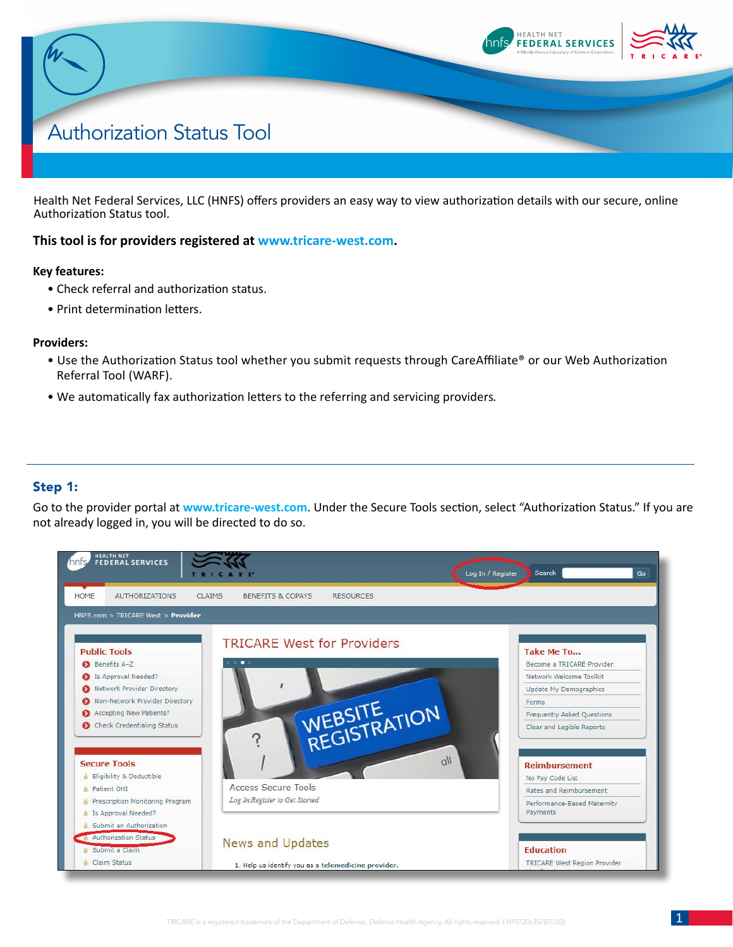

# Authorization Status Tool

Health Net Federal Services, LLC (HNFS) offers providers an easy way to view authorization details with our secure, online Authorization Status tool.

#### **This tool is for providers registered at [www.tricare-west.com](http://www.tricare-west.com).**

#### **Key features:**

 $\boldsymbol{\mathsf{w}}$ 

- Check referral and authorization status.
- Print determination letters.

### **Providers:**

- Use the Authorization Status tool whether you submit requests through CareAffiliate® or our Web Authorization Referral Tool (WARF).
- We automatically fax authorization letters to the referring and servicing providers*.*

## Step 1:

Go to the provider portal at **[www.tricare-west.com](http://www.tricare-west.com)**. Under the Secure Tools section, select "Authorization Status." If you are not already logged in, you will be directed to do so.